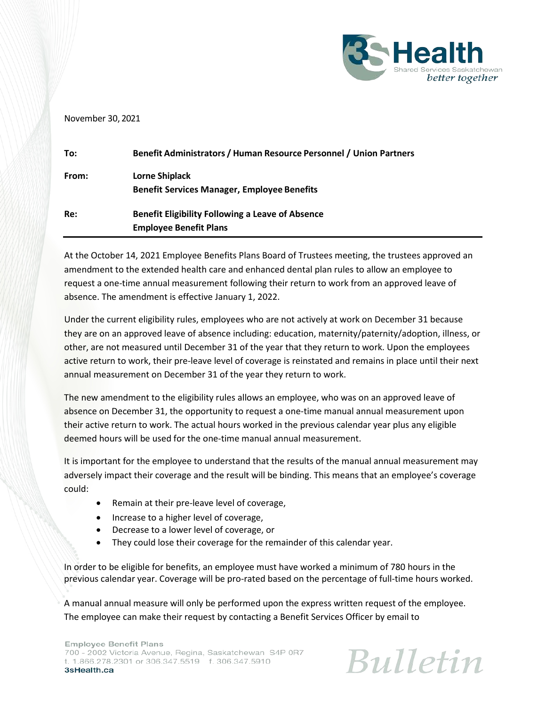

## November 30, 2021

| To:   | Benefit Administrators / Human Resource Personnel / Union Partners                       |
|-------|------------------------------------------------------------------------------------------|
| From: | Lorne Shiplack<br><b>Benefit Services Manager, Employee Benefits</b>                     |
| Re:   | <b>Benefit Eligibility Following a Leave of Absence</b><br><b>Employee Benefit Plans</b> |

At the October 14, 2021 Employee Benefits Plans Board of Trustees meeting, the trustees approved an amendment to the extended health care and enhanced dental plan rules to allow an employee to request a one-time annual measurement following their return to work from an approved leave of absence. The amendment is effective January 1, 2022.

Under the current eligibility rules, employees who are not actively at work on December 31 because they are on an approved leave of absence including: education, maternity/paternity/adoption, illness, or other, are not measured until December 31 of the year that they return to work. Upon the employees active return to work, their pre-leave level of coverage is reinstated and remains in place until their next annual measurement on December 31 of the year they return to work.

The new amendment to the eligibility rules allows an employee, who was on an approved leave of absence on December 31, the opportunity to request a one-time manual annual measurement upon their active return to work. The actual hours worked in the previous calendar year plus any eligible deemed hours will be used for the one-time manual annual measurement.

It is important for the employee to understand that the results of the manual annual measurement may adversely impact their coverage and the result will be binding. This means that an employee's coverage could:

- Remain at their pre-leave level of coverage,
- Increase to a higher level of coverage,
- Decrease to a lower level of coverage, or
- They could lose their coverage for the remainder of this calendar year.

In order to be eligible for benefits, an employee must have worked a minimum of 780 hours in the previous calendar year. Coverage will be pro-rated based on the percentage of full-time hours worked.

A manual annual measure will only be performed upon the express written request of the employee. The employee can make their request by contacting a Benefit Services Officer by email to

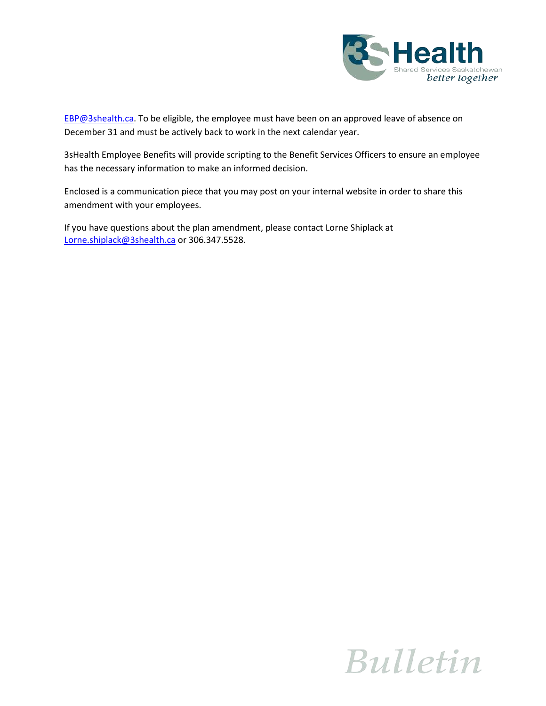

[EBP@3shealth.ca.](mailto:EBP@3shealth.ca) To be eligible, the employee must have been on an approved leave of absence on December 31 and must be actively back to work in the next calendar year.

3sHealth Employee Benefits will provide scripting to the Benefit Services Officers to ensure an employee has the necessary information to make an informed decision.

Enclosed is a communication piece that you may post on your internal website in order to share this amendment with your employees.

If you have questions about the plan amendment, please contact Lorne Shiplack at [Lorne.shiplack@3shealth.ca](mailto:Lorne.shiplack@3shealth.ca) or 306.347.5528.